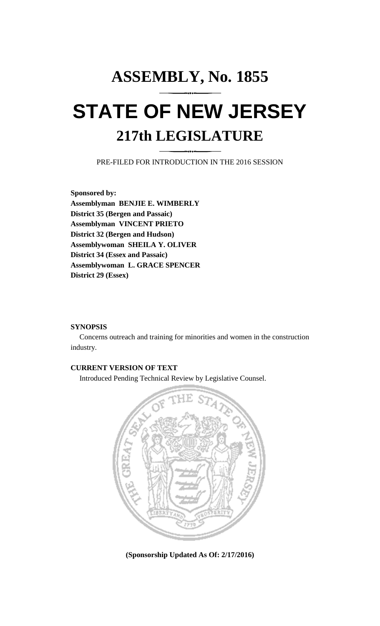# **ASSEMBLY, No. 1855 STATE OF NEW JERSEY 217th LEGISLATURE**

PRE-FILED FOR INTRODUCTION IN THE 2016 SESSION

**Sponsored by: Assemblyman BENJIE E. WIMBERLY District 35 (Bergen and Passaic) Assemblyman VINCENT PRIETO District 32 (Bergen and Hudson) Assemblywoman SHEILA Y. OLIVER District 34 (Essex and Passaic) Assemblywoman L. GRACE SPENCER District 29 (Essex)**

### **SYNOPSIS**

Concerns outreach and training for minorities and women in the construction industry.

## **CURRENT VERSION OF TEXT**

Introduced Pending Technical Review by Legislative Counsel.



**(Sponsorship Updated As Of: 2/17/2016)**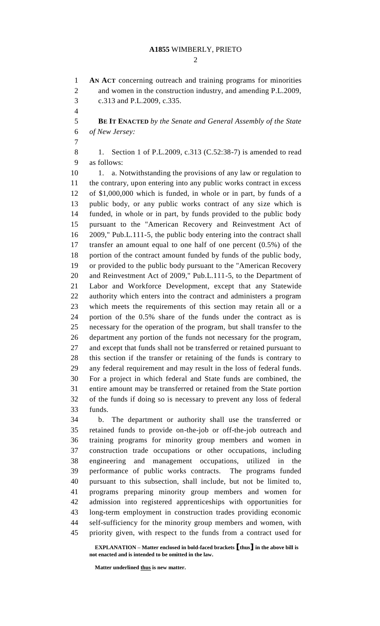#### **A1855** WIMBERLY, PRIETO

 $\mathcal{D}_{\mathcal{L}}$ 

 **AN ACT** concerning outreach and training programs for minorities and women in the construction industry, and amending P.L.2009, c.313 and P.L.2009, c.335. **BE IT ENACTED** *by the Senate and General Assembly of the State of New Jersey:* 8 1. Section 1 of P.L.2009, c.313 (C.52:38-7) is amended to read as follows: 10 1. a. Notwithstanding the provisions of any law or regulation to the contrary, upon entering into any public works contract in excess of \$1,000,000 which is funded, in whole or in part, by funds of a public body, or any public works contract of any size which is funded, in whole or in part, by funds provided to the public body pursuant to the "American Recovery and Reinvestment Act of 2009," Pub.L.111-5, the public body entering into the contract shall transfer an amount equal to one half of one percent (0.5%) of the portion of the contract amount funded by funds of the public body, or provided to the public body pursuant to the "American Recovery and Reinvestment Act of 2009," Pub.L.111-5, to the Department of Labor and Workforce Development, except that any Statewide authority which enters into the contract and administers a program which meets the requirements of this section may retain all or a portion of the 0.5% share of the funds under the contract as is necessary for the operation of the program, but shall transfer to the department any portion of the funds not necessary for the program, and except that funds shall not be transferred or retained pursuant to this section if the transfer or retaining of the funds is contrary to any federal requirement and may result in the loss of federal funds. For a project in which federal and State funds are combined, the entire amount may be transferred or retained from the State portion of the funds if doing so is necessary to prevent any loss of federal funds. b. The department or authority shall use the transferred or retained funds to provide on-the-job or off-the-job outreach and training programs for minority group members and women in construction trade occupations or other occupations, including engineering and management occupations, utilized in the performance of public works contracts. The programs funded pursuant to this subsection, shall include, but not be limited to, programs preparing minority group members and women for admission into registered apprenticeships with opportunities for long-term employment in construction trades providing economic self-sufficiency for the minority group members and women, with priority given, with respect to the funds from a contract used for

**EXPLANATION – Matter enclosed in bold-faced brackets [thus] in the above bill is not enacted and is intended to be omitted in the law.**

**Matter underlined thus is new matter.**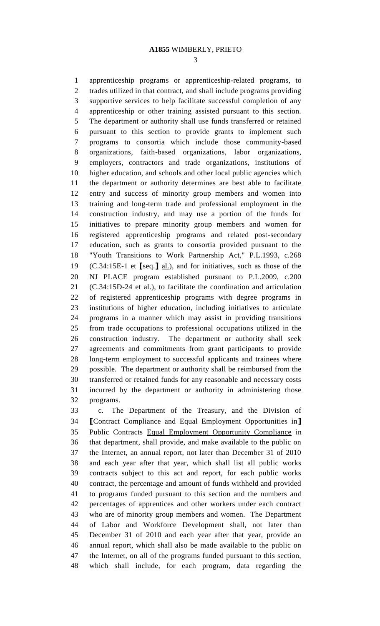apprenticeship programs or apprenticeship-related programs, to trades utilized in that contract, and shall include programs providing supportive services to help facilitate successful completion of any apprenticeship or other training assisted pursuant to this section. The department or authority shall use funds transferred or retained pursuant to this section to provide grants to implement such programs to consortia which include those community-based organizations, faith-based organizations, labor organizations, employers, contractors and trade organizations, institutions of higher education, and schools and other local public agencies which the department or authority determines are best able to facilitate entry and success of minority group members and women into training and long-term trade and professional employment in the construction industry, and may use a portion of the funds for initiatives to prepare minority group members and women for registered apprenticeship programs and related post-secondary education, such as grants to consortia provided pursuant to the "Youth Transitions to Work Partnership Act," P.L.1993, c.268 (C.34:15E-1 et **[**seq.**]** al.), and for initiatives, such as those of the NJ PLACE program established pursuant to P.L.2009, c.200 (C.34:15D-24 et al.), to facilitate the coordination and articulation of registered apprenticeship programs with degree programs in institutions of higher education, including initiatives to articulate programs in a manner which may assist in providing transitions from trade occupations to professional occupations utilized in the construction industry. The department or authority shall seek agreements and commitments from grant participants to provide long-term employment to successful applicants and trainees where possible. The department or authority shall be reimbursed from the transferred or retained funds for any reasonable and necessary costs incurred by the department or authority in administering those programs.

 c. The Department of the Treasury, and the Division of **[**Contract Compliance and Equal Employment Opportunities in**]** Public Contracts Equal Employment Opportunity Compliance in that department, shall provide, and make available to the public on the Internet, an annual report, not later than December 31 of 2010 and each year after that year, which shall list all public works contracts subject to this act and report, for each public works contract, the percentage and amount of funds withheld and provided to programs funded pursuant to this section and the numbers and percentages of apprentices and other workers under each contract who are of minority group members and women. The Department of Labor and Workforce Development shall, not later than December 31 of 2010 and each year after that year, provide an annual report, which shall also be made available to the public on the Internet, on all of the programs funded pursuant to this section, which shall include, for each program, data regarding the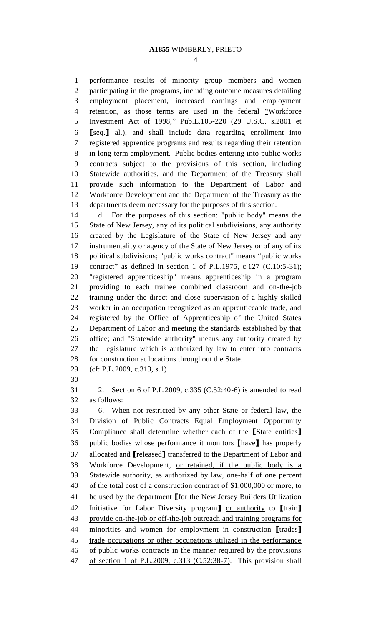performance results of minority group members and women participating in the programs, including outcome measures detailing employment placement, increased earnings and employment retention, as those terms are used in the federal "Workforce 5 Investment Act of 1998," Pub.L.105-220 (29 U.S.C. s.2801 et **[**seq.**]** al.), and shall include data regarding enrollment into registered apprentice programs and results regarding their retention in long-term employment. Public bodies entering into public works contracts subject to the provisions of this section, including Statewide authorities, and the Department of the Treasury shall provide such information to the Department of Labor and Workforce Development and the Department of the Treasury as the departments deem necessary for the purposes of this section.

 d. For the purposes of this section: "public body" means the State of New Jersey, any of its political subdivisions, any authority created by the Legislature of the State of New Jersey and any instrumentality or agency of the State of New Jersey or of any of its political subdivisions; "public works contract" means "public works 19 contract<sup>2</sup> as defined in section 1 of P.L.1975, c.127 (C.10:5-31); "registered apprenticeship" means apprenticeship in a program providing to each trainee combined classroom and on-the-job training under the direct and close supervision of a highly skilled worker in an occupation recognized as an apprenticeable trade, and registered by the Office of Apprenticeship of the United States Department of Labor and meeting the standards established by that office; and "Statewide authority" means any authority created by the Legislature which is authorized by law to enter into contracts for construction at locations throughout the State.

(cf: P.L.2009, c.313, s.1)

 2. Section 6 of P.L.2009, c.335 (C.52:40-6) is amended to read as follows:

 6. When not restricted by any other State or federal law, the Division of Public Contracts Equal Employment Opportunity Compliance shall determine whether each of the **[**State entities**]** public bodies whose performance it monitors **[**have**]** has properly allocated and **[**released**]** transferred to the Department of Labor and Workforce Development, or retained, if the public body is a Statewide authority, as authorized by law, one-half of one percent of the total cost of a construction contract of \$1,000,000 or more, to be used by the department **[**for the New Jersey Builders Utilization Initiative for Labor Diversity program**]** or authority to **[**train**]** provide on-the-job or off-the-job outreach and training programs for minorities and women for employment in construction **[**trades**]** trade occupations or other occupations utilized in the performance of public works contracts in the manner required by the provisions of section 1 of P.L.2009, c.313 (C.52:38-7). This provision shall